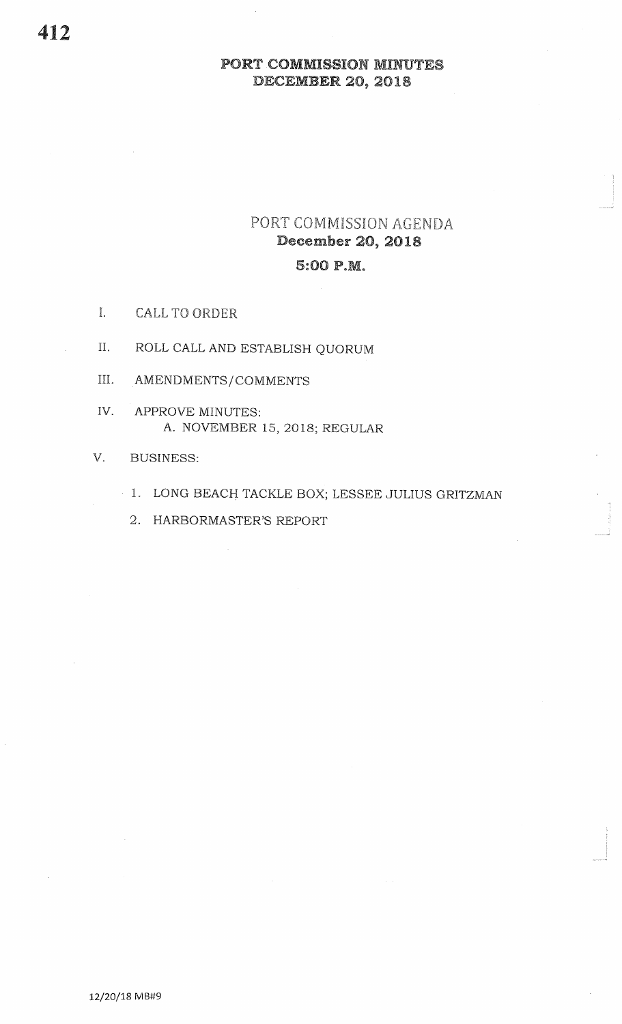# PORT COMMISSION AGENDA **December 20, 2018** 5:00 P.M.

- I. **CALL TO ORDER**
- II. ROLL CALL AND ESTABLISH QUORUM
- III. AMENDMENTS/COMMENTS
- IV. APPROVE MINUTES: A. NOVEMBER 15, 2018; REGULAR
- V. **BUSINESS:** 
	- 1. LONG BEACH TACKLE BOX; LESSEE JULIUS GRITZMAN
		- 2. HARBORMASTER'S REPORT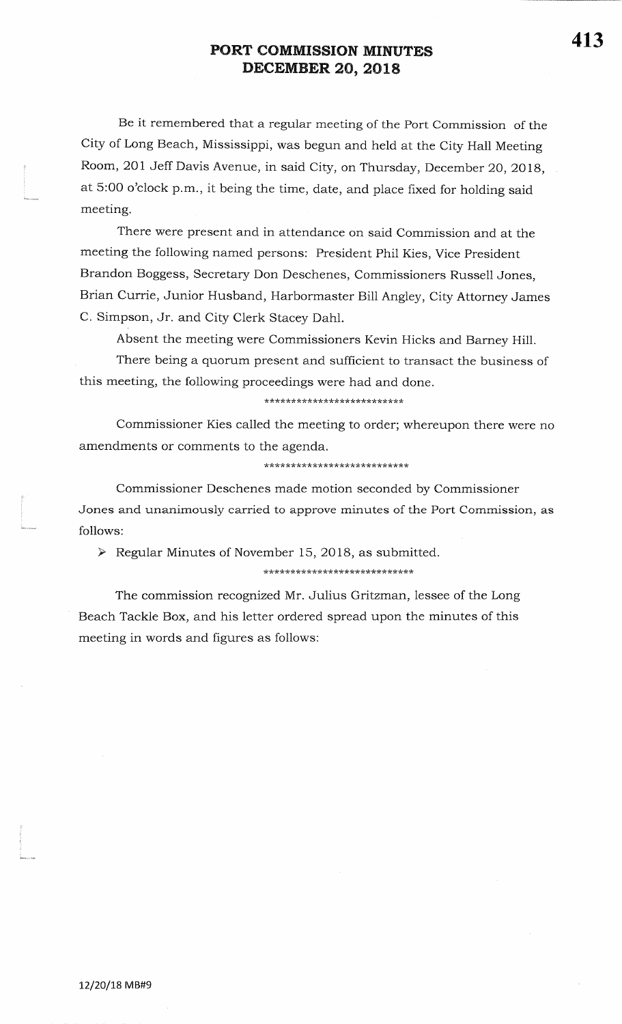Be it remembered that a reguiar meeting of the Port Commission of the City of Long Beach, Mississippi, was begun and held at the City Halt MeetingRoom, 201 Jeff Davis Avenue, in said City, on Thursday, December 20, 2018, at 5:00 o'clock p.m., it being the time, date, and place fixed for holding said meeting.

There were present and in attendance on said Commission and at themeeting the following named persons: President Phil Kies, Vice PresidentBrandon Boggess, Secretary Don Deschenes, Commissioners Russell Jones,Brian Currie, Junior Husband, Harbormaster Bill Angley, City Attorney JamesC. Simpson, Jr. and City Clerk Stacey Dahl.

Absent the meeting were Commissioners Kevin Hicks and Barney Hill.

There being a quorum present and sufficient to transact the business ofthis meeting, the following proceedings were had and done.

### \*\*\*\*\*\*\*\*\*\*\*\*\*\*\*\*\*\*\*\*\*\*\*\*\*\*

Commissioner Kies called the meeting to order; whereupon there were noamendments or comments to the agenda.

### \*\*\*\*\*\*\*\*\*\*\*\*\*\*\*\*\*\*\*\*\*\*\*\*\*

Commissioner Deschenes made motion seconded by CommissionerJones and unanimously carried to approve minutes of the Port Commission, asfollows:

 $\triangleright$  Regular Minutes of November 15, 2018, as submitted.

\*\*\*\*\*\*\*\*\*\*\*\*\*\*\*\*\*\*\*\*\*\*\*\*\*\*\*

The commission recognized Mr. Julius Gritzman, lessee of the Long Beach Tackle Box, and his letter ordered spread upon the minutes of thismeeting in words and figures as follows: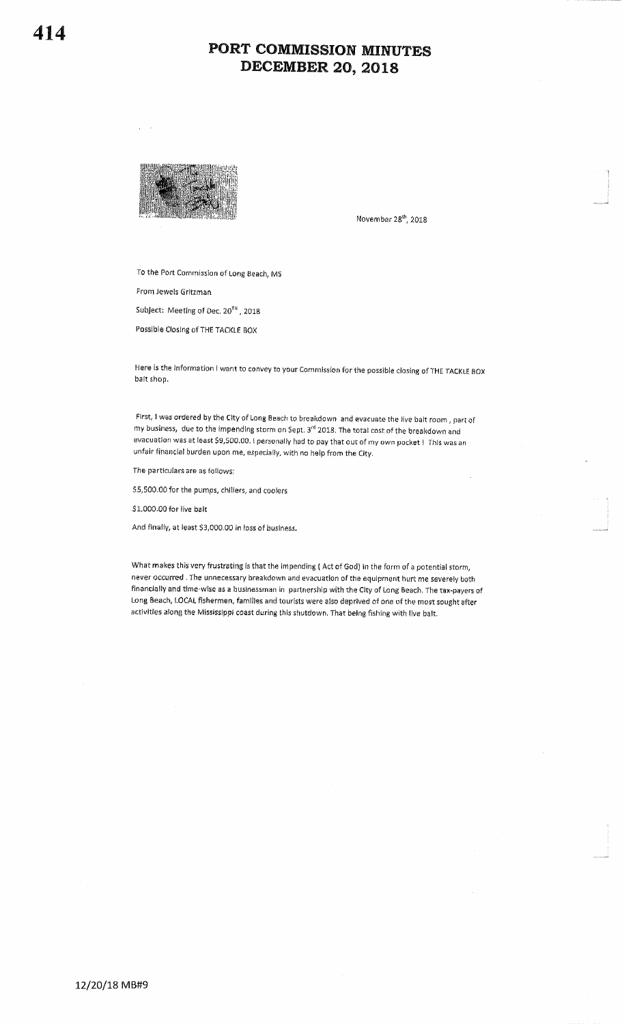

November 28<sup>th</sup>, 2018

To the Port Commission of Long Beach, MS

From Jewels Gritzman

Subject: Meeting of Dec. 20<sup>TH</sup>, 2018

Possible Closing of THE TACKLE BOX

Here is the Information I want to convey to your Commission for the possible closing of THE TACKLE BOX bait shop.

First, I was ordered by the City of Long Beach to breakdown and evacuate the live balt room, part of my business, due to the impending storm on Sept. 3<sup>rd</sup> 2018. The total cost of the breakdown and evacuation was at least \$9,500.00. I personally had to pay that out of my own pocket ! This was an unfair financial burden upon me, especially, with no help from the City.

The particulars are as follows:

\$5,500.00 for the pumps, chillers, and coolers

\$1,000.00 for live balt

And finally, at least \$3,000.00 in loss of business.

What makes this very frustrating is that the impending (Act of God) in the form of a potential storm, never occurred. The unnecessary breakdown and evacuation of the equipment hurt me severely both financially and time-wise as a businessman in partnership with the City of Long Beach. The tax-payers of Long Beach, LOCAL fishermen, families and tourists were also deprived of one of the most sought after activities along the Mississippi coast during this shutdown. That being fishing with live balt.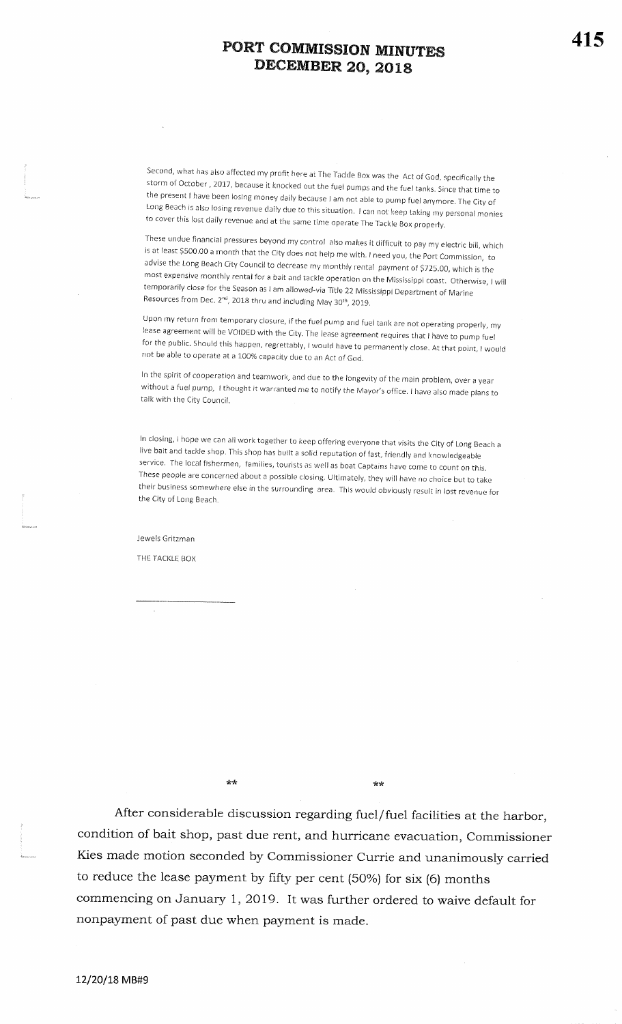Second, what has also affected my profit here at The Tackle Box was the Act of God, specifically the storm of October, 2017, because it knocked out the fuel pumps and the fuel tanks. Since that time to the present I have been losing money daily because I am not able to pump fuel anymore. The City of Long Beach is also losing revenue daily due to this situation. I can not keep taking my personal monies to cover this lost daily revenue and at the same time operate The Tackle Box properly.

These undue financial pressures beyond my control also makes it difficult to pay my electric bill, which is at least \$500.00 a month that the City does not help me with. I need you, the Port Commission, to advise the Long Beach City Council to decrease my monthly rental payment of \$725.00, which is the most expensive monthly rental for a bait and tackle operation on the Mississippi coast. otherwise, I willtemporarily close for the Season as I am allowed-via Title 22 Mississippi Department of Marine Resources from Dec.  $2^{nd}$ , 2018 thru and including May 30<sup>th</sup>, 2019.

Upon my return from temporary closure, if the fuel pump and fuel tank are not operating properly, my lease agreement will be VOIDED with the City. The lease agreement requires that I have to pump fuel for the public. Should this happen, regrettably, I would have to permanently close. At that point, I would not be able to operate at a 100% capacity due to an Act of God.  $\hbox{J}$ 

ln the spirit of cooperation and tearnwork, and due to the longevity of the main prohlern, over a yearwithout a fuel pump, I thought it warranted me to notify the Mayor's office. I have also made plans to talk with the City Council.

In closing, I hope we can all work together to keep offering everyone that visits the City of Long Beach a live bait and tackle shop. This shop has built a solid reputation of fast, friendly and knowledgeable service. The local fishermen, families, tourists as well as boat Captains have come to count on this. These people are concerned about a possible closing. Ultimately, thev will have no choice but to taketheir business somewhere else in the surrounding area. This would obviously result in lost revenue for<br>the City of Lang Brazh the City of Long Beach.

Jewels Gritzman

THE TACKLE BOX

 $**$ 

\*rk

After considerable discussion regarding fuel/fuel facilities at the harbor,condition of bait shop, past due rent, and hurricane evacuation, CommissionerKies made motion seconded by Commissioner Currie and unanimously carriedto reduce the lease payment by fifty per cent  $(50%)$  for six  $(6)$  months commencing on January 1, 2019. It was further ordered to waive default for nonpayment of past due when payment is made.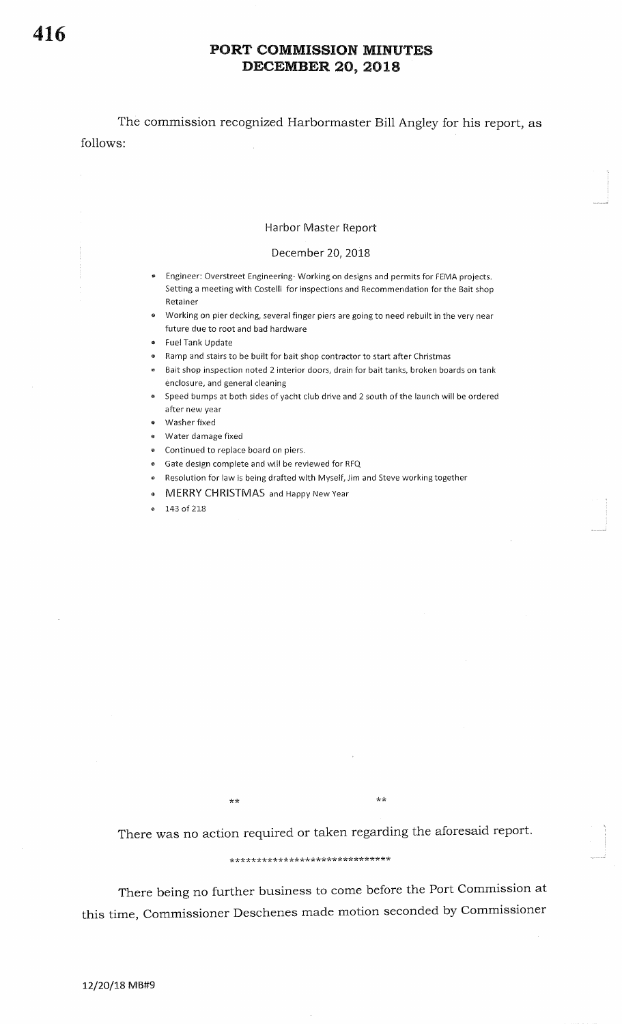The commission recognized Harbormaster Bill Angley for his report, asfollows:

#### Harbor Master Report

### December 20, 2018

- **•** Engineer: Overstreet Engineering-Working on designs and permits for FEMA projects. Setting a meeting with Costelli for inspections and Recommendation for the Bait shopRetainer
- <sup>r</sup>Working on pier decking, several finger piers are going to need rebuilt in the very nearfuture due to root and bad hardware
- Fuel Tank Update
- . Ramp and stairs to be built for bait shop contractor to start after Christmas
- . Bait shop inspection noted 2 interior doors, drain for bait tanks, broken boards on tankenclosure, and general cleaning
- **Faced bumps at both sides of yacht club drive and 2 south of the launch will be ordered** after new year
- Washer fixed
- **Water damage fixed**
- **Continued to replace board on piers.**
- . Gate design complete and will be reviewed for RFQ
- **Resolution for law is being drafted with Myself, Jim and Steve working together**
- . MERRY CHRISTMAS and Happy New Year
- 143 of 218

\*\*

 $\star$ 

There was no action required or taken regarding the aforesaid report.

### \*rkt \*\*\*\*\*\*t(\*tc\*

There being no further business to come before the Port Commission at this time, Commissioner Deschenes made motion seconded by Commissioner